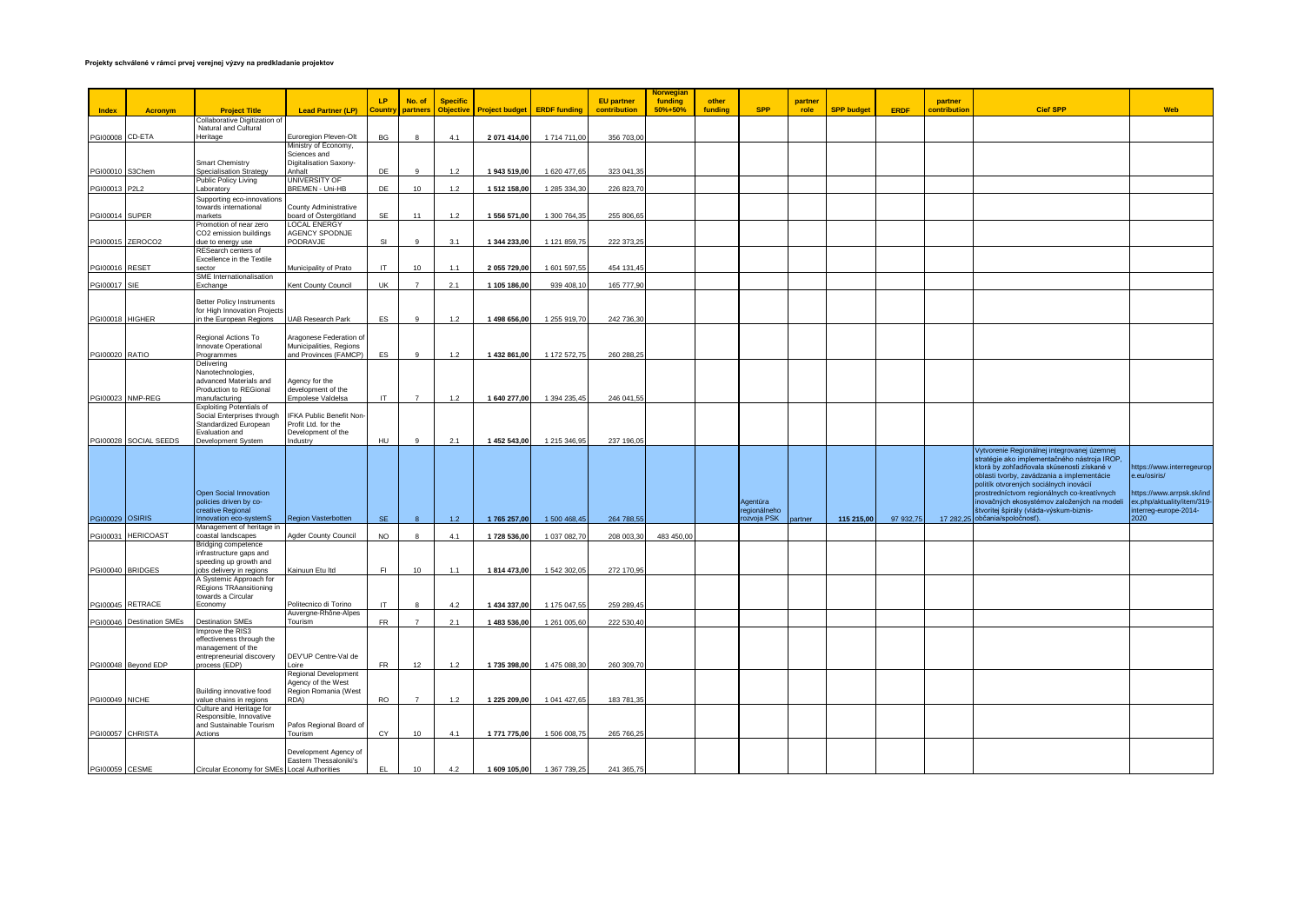## **Projekty schválené v rámci prvej verejnej výzvy na predkladanie projektov**

|                       |                           |                                                         |                                                    |                |                    |                                     |                       |                           |                                   | <b>Norwegian</b>   |                  |                           |                 |                   |           |                         |                                                                                            |                                                        |
|-----------------------|---------------------------|---------------------------------------------------------|----------------------------------------------------|----------------|--------------------|-------------------------------------|-----------------------|---------------------------|-----------------------------------|--------------------|------------------|---------------------------|-----------------|-------------------|-----------|-------------------------|--------------------------------------------------------------------------------------------|--------------------------------------------------------|
| Index                 | <b>Acronym</b>            | <b>Project Title</b>                                    | <b>Lead Partner (LP)</b>                           | LP.<br>Country | No. of<br>partners | <b>Specific</b><br><b>Objective</b> | <b>Project budget</b> | <b>ERDF</b> funding       | <b>EU</b> partner<br>contribution | funding<br>50%+50% | other<br>fundina | <b>SPP</b>                | partner<br>role | <b>SPP budget</b> | ERDF      | partner<br>contribution | <b>Cieľ SPP</b>                                                                            | Web                                                    |
|                       |                           | Collaborative Digitization of<br>Natural and Cultural   |                                                    |                |                    |                                     |                       |                           |                                   |                    |                  |                           |                 |                   |           |                         |                                                                                            |                                                        |
| PGI00008 CD-ETA       |                           | leritage                                                | Euroregion Pleven-Olt                              | BG             |                    | 4.1                                 | 2 071 414,00          | 1714711,00                | 356 703,00                        |                    |                  |                           |                 |                   |           |                         |                                                                                            |                                                        |
|                       |                           |                                                         | Ministry of Economy,<br>Sciences and               |                |                    |                                     |                       |                           |                                   |                    |                  |                           |                 |                   |           |                         |                                                                                            |                                                        |
|                       |                           | <b>Smart Chemistry</b>                                  | Digitalisation Saxony-                             |                |                    |                                     |                       |                           |                                   |                    |                  |                           |                 |                   |           |                         |                                                                                            |                                                        |
| PGI00010 S3Chem       |                           | Specialisation Strategy                                 | Anhalt                                             | DE             |                    | $1.2$                               | 1 943 519,00          | 1 620 477,6               | 323 041,35                        |                    |                  |                           |                 |                   |           |                         |                                                                                            |                                                        |
| PGI00013 P2L2         |                           | Public Policy Living<br>aboratory                       | UNIVERSITY OF<br>BREMEN - Uni-HB                   | DE             | 10                 | 1.2                                 | 1 512 158,00          | 1 285 334,30              | 226 823,70                        |                    |                  |                           |                 |                   |           |                         |                                                                                            |                                                        |
|                       |                           | Supporting eco-innovations                              |                                                    |                |                    |                                     |                       |                           |                                   |                    |                  |                           |                 |                   |           |                         |                                                                                            |                                                        |
| <b>PGI00014 SUPER</b> |                           | towards international<br>markets                        | County Administrative<br>board of Östergötland     | SF             | 11                 | 1.2                                 | 1 556 571,00          | 1 300 764,35              | 255 806.65                        |                    |                  |                           |                 |                   |           |                         |                                                                                            |                                                        |
|                       |                           | Promotion of near zero                                  | <b>LOCAL ENERGY</b>                                |                |                    |                                     |                       |                           |                                   |                    |                  |                           |                 |                   |           |                         |                                                                                            |                                                        |
| PGI00015 ZEROCO2      |                           | CO2 emission buildings<br>due to energy use             | AGENCY SPODNJE<br>PODRAVJE                         | SI             |                    | 3.1                                 | 1 344 233,00          | 1 121 859,75              | 222 373,25                        |                    |                  |                           |                 |                   |           |                         |                                                                                            |                                                        |
|                       |                           | RESearch centers of                                     |                                                    |                |                    |                                     |                       |                           |                                   |                    |                  |                           |                 |                   |           |                         |                                                                                            |                                                        |
| PGI00016 RESET        |                           | Excellence in the Textile<br>sector                     | Municipality of Prato                              | IT             | 10                 | 1.1                                 | 2 055 729,00          | 1 601 597,5               | 454 131,45                        |                    |                  |                           |                 |                   |           |                         |                                                                                            |                                                        |
|                       |                           | SME Internationalisation                                |                                                    |                |                    |                                     |                       |                           |                                   |                    |                  |                           |                 |                   |           |                         |                                                                                            |                                                        |
| PGI00017 SIE          |                           | Exchange                                                | Kent County Council                                | UK             | $\overline{7}$     | 2.1                                 | 1 105 186,00          | 939 408,1                 | 165 777,90                        |                    |                  |                           |                 |                   |           |                         |                                                                                            |                                                        |
|                       |                           | Better Policy Instruments                               |                                                    |                |                    |                                     |                       |                           |                                   |                    |                  |                           |                 |                   |           |                         |                                                                                            |                                                        |
| PGI00018 HIGHER       |                           | for High Innovation Projects<br>in the European Regions | <b>UAB Research Park</b>                           | ES             | $\alpha$           | 1.2                                 | 1 498 656,00          | 1 255 919,70              | 242 736,30                        |                    |                  |                           |                 |                   |           |                         |                                                                                            |                                                        |
|                       |                           |                                                         |                                                    |                |                    |                                     |                       |                           |                                   |                    |                  |                           |                 |                   |           |                         |                                                                                            |                                                        |
|                       |                           | Regional Actions To<br>Innovate Operational             | Aragonese Federation of<br>Municipalities, Regions |                |                    |                                     |                       |                           |                                   |                    |                  |                           |                 |                   |           |                         |                                                                                            |                                                        |
| PGI00020 RATIO        |                           | Programmes                                              | and Provinces (FAMCP)                              | ES             | 9                  | 1.2                                 | 1 432 861,00          | 1 172 572,75              | 260 288,25                        |                    |                  |                           |                 |                   |           |                         |                                                                                            |                                                        |
|                       |                           | Delivering<br>Nanotechnologies,                         |                                                    |                |                    |                                     |                       |                           |                                   |                    |                  |                           |                 |                   |           |                         |                                                                                            |                                                        |
|                       |                           | advanced Materials and                                  | Agency for the                                     |                |                    |                                     |                       |                           |                                   |                    |                  |                           |                 |                   |           |                         |                                                                                            |                                                        |
| PGI00023 NMP-REG      |                           | Production to REGional<br>manufacturing                 | development of the<br>Empolese Valdelsa            | IT.            | $\overline{7}$     | 1.2                                 | 1 640 277,00          | 1 394 235,45              | 246 041,55                        |                    |                  |                           |                 |                   |           |                         |                                                                                            |                                                        |
|                       |                           | <b>Exploiting Potentials of</b>                         |                                                    |                |                    |                                     |                       |                           |                                   |                    |                  |                           |                 |                   |           |                         |                                                                                            |                                                        |
|                       |                           | Social Enterprises through<br>Standardized European     | IFKA Public Benefit Non-<br>Profit Ltd. for the    |                |                    |                                     |                       |                           |                                   |                    |                  |                           |                 |                   |           |                         |                                                                                            |                                                        |
|                       | PGI00028 SOCIAL SEEDS     | Evaluation and                                          | Development of the                                 | <b>HU</b>      | $\alpha$           |                                     |                       |                           |                                   |                    |                  |                           |                 |                   |           |                         |                                                                                            |                                                        |
|                       |                           | Development System                                      | Industry                                           |                |                    | 2.1                                 | 1 452 543,00          | 1 215 346,95              | 237 196,05                        |                    |                  |                           |                 |                   |           |                         | Vytvorenie Regionálnej integrovanej územnej                                                |                                                        |
|                       |                           |                                                         |                                                    |                |                    |                                     |                       |                           |                                   |                    |                  |                           |                 |                   |           |                         | stratégie ako implementačného nástroja IROP,                                               |                                                        |
|                       |                           |                                                         |                                                    |                |                    |                                     |                       |                           |                                   |                    |                  |                           |                 |                   |           |                         | ktorá by zohľadňovala skúsenosti získané v<br>oblasti tvorby, zavádzania a implementácie   | https://www.interregeurop<br>e.eu/osiris/              |
|                       |                           |                                                         |                                                    |                |                    |                                     |                       |                           |                                   |                    |                  |                           |                 |                   |           |                         | politík otvorených sociálnych inovácií                                                     |                                                        |
|                       |                           | Open Social Innovation<br>policies driven by co-        |                                                    |                |                    |                                     |                       |                           |                                   |                    |                  | Agentúra                  |                 |                   |           |                         | prostredníctvom regionálnych co-kreatívnych<br>inovačných ekosystémov založených na modeli | https://www.arrpsk.sk/ind<br>ex.php/aktuality/item/319 |
| PGI00029 OSIRIS       |                           | creative Regional<br>nnovation eco-systemS              | Region Vasterbotten                                | <b>SF</b>      |                    | 1.2                                 | 1765 257,00           | 1 500 468.45              | 264 788.55                        |                    |                  | regionálneho<br>zvoja PSK | artner          | 115 215,00        | 97 932.75 |                         | štvoritej špirály (vláda-výskum-biznis-<br>17 282.25 občania/spoločnosť).                  | interreg-europe-2014-<br>2020                          |
|                       |                           | Management of heritage in                               |                                                    |                |                    |                                     |                       |                           |                                   |                    |                  |                           |                 |                   |           |                         |                                                                                            |                                                        |
|                       | PGI00031 HERICOAST        | coastal landscapes<br>Bridging competence               | Agder County Council                               | <b>NO</b>      | $\mathbf{R}$       | 4.1                                 | 1728 536,00           | 1 037 082,70              | 208 003,30                        | 483 450,00         |                  |                           |                 |                   |           |                         |                                                                                            |                                                        |
|                       |                           | infrastructure gaps and                                 |                                                    |                |                    |                                     |                       |                           |                                   |                    |                  |                           |                 |                   |           |                         |                                                                                            |                                                        |
| PGI00040 BRIDGES      |                           | speeding up growth and<br>obs delivery in regions       | Kainuun Etu Itd                                    | F1             | 10                 | 1.1                                 | 1814 473,00           | 1 542 302,05              | 272 170,95                        |                    |                  |                           |                 |                   |           |                         |                                                                                            |                                                        |
|                       |                           | A Systemic Approach for                                 |                                                    |                |                    |                                     |                       |                           |                                   |                    |                  |                           |                 |                   |           |                         |                                                                                            |                                                        |
|                       |                           | <b>REgions TRAansitioning</b><br>towards a Circular     |                                                    |                |                    |                                     |                       |                           |                                   |                    |                  |                           |                 |                   |           |                         |                                                                                            |                                                        |
| PGI00045 RETRACE      |                           | Economy                                                 | Politecnico di Torino                              | IT.            |                    | 4.2                                 | 1 434 337,00          | 1 175 047,5               | 259 289,45                        |                    |                  |                           |                 |                   |           |                         |                                                                                            |                                                        |
|                       | PGI00046 Destination SMEs | <b>Destination SMEs</b>                                 | Auvergne-Rhône-Alpes<br>Tourism                    | <b>FR</b>      |                    | 2.1                                 | 1 483 536,00          | 1 261 005.60              | 222 530,40                        |                    |                  |                           |                 |                   |           |                         |                                                                                            |                                                        |
|                       |                           | Improve the RIS3                                        |                                                    |                |                    |                                     |                       |                           |                                   |                    |                  |                           |                 |                   |           |                         |                                                                                            |                                                        |
|                       |                           | effectiveness through the<br>management of the          |                                                    |                |                    |                                     |                       |                           |                                   |                    |                  |                           |                 |                   |           |                         |                                                                                            |                                                        |
|                       | PGI00048 Beyond EDP       | entrepreneurial discovery<br>process (EDP)              | DEV'UP Centre-Val de<br>oire                       | <b>FR</b>      | 12                 | 1.2                                 | 1735 398,00           | 1475 088.30               | 260 309.70                        |                    |                  |                           |                 |                   |           |                         |                                                                                            |                                                        |
|                       |                           |                                                         | Regional Development                               |                |                    |                                     |                       |                           |                                   |                    |                  |                           |                 |                   |           |                         |                                                                                            |                                                        |
|                       |                           | Building innovative food                                | Agency of the West<br>Region Romania (West         |                |                    |                                     |                       |                           |                                   |                    |                  |                           |                 |                   |           |                         |                                                                                            |                                                        |
| PGI00049 NICHE        |                           | value chains in regions                                 | RDA)                                               | <b>RO</b>      | $\overline{7}$     | 1.2                                 | 1 225 209,00          | 1 041 427,65              | 183 781,35                        |                    |                  |                           |                 |                   |           |                         |                                                                                            |                                                        |
|                       |                           | Culture and Heritage for<br>Responsible, Innovative     |                                                    |                |                    |                                     |                       |                           |                                   |                    |                  |                           |                 |                   |           |                         |                                                                                            |                                                        |
|                       |                           | and Sustainable Tourism                                 | Pafos Regional Board of                            |                |                    |                                     |                       |                           |                                   |                    |                  |                           |                 |                   |           |                         |                                                                                            |                                                        |
| PGI00057 CHRISTA      |                           | Actions                                                 | Tourism                                            | CY             | 10                 | 4.1                                 | 1 771 775,00          | 1 506 008,7               | 265 766,25                        |                    |                  |                           |                 |                   |           |                         |                                                                                            |                                                        |
|                       |                           |                                                         | Development Agency of                              |                |                    |                                     |                       |                           |                                   |                    |                  |                           |                 |                   |           |                         |                                                                                            |                                                        |
| PGI00059 CESME        |                           | Circular Economy for SMEs Local Authorities             | Eastern Thessaloniki's                             | EL.            | 10                 | 4.2                                 |                       | 1 609 105,00 1 367 739,25 | 241 365,75                        |                    |                  |                           |                 |                   |           |                         |                                                                                            |                                                        |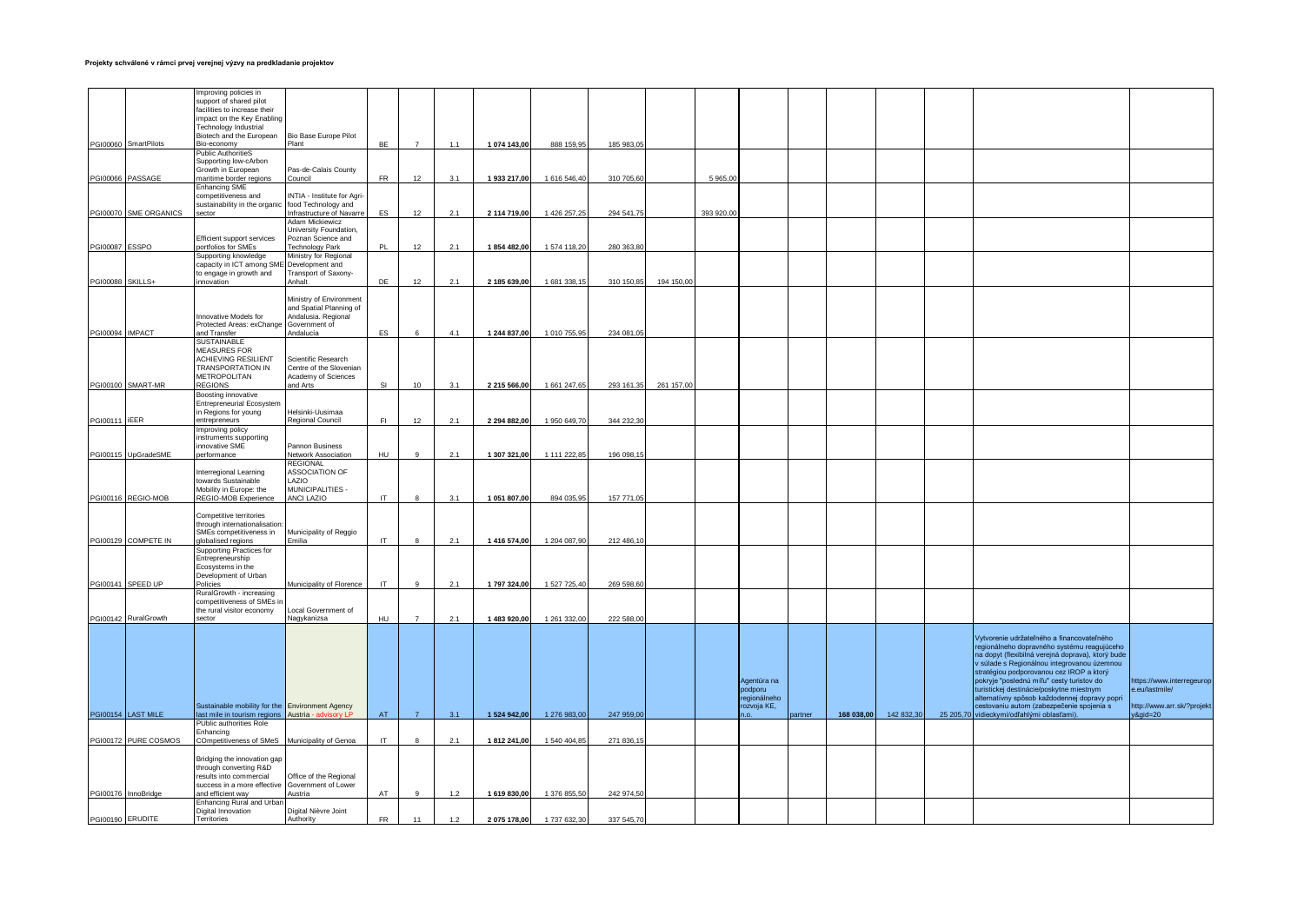|                  |                       | Improving policies in<br>support of shared pilot      |                                                 |           |                  |       |              |              |            |            |           |                        |        |            |            |           |                                                                                       |                                             |
|------------------|-----------------------|-------------------------------------------------------|-------------------------------------------------|-----------|------------------|-------|--------------|--------------|------------|------------|-----------|------------------------|--------|------------|------------|-----------|---------------------------------------------------------------------------------------|---------------------------------------------|
|                  |                       | facilities to increase their                          |                                                 |           |                  |       |              |              |            |            |           |                        |        |            |            |           |                                                                                       |                                             |
|                  |                       | impact on the Key Enabling                            |                                                 |           |                  |       |              |              |            |            |           |                        |        |            |            |           |                                                                                       |                                             |
|                  |                       | <b>Technology Industrial</b>                          |                                                 |           |                  |       |              |              |            |            |           |                        |        |            |            |           |                                                                                       |                                             |
|                  |                       | Biotech and the European                              | Bio Base Europe Pilot                           |           |                  |       |              |              |            |            |           |                        |        |            |            |           |                                                                                       |                                             |
|                  | PGI00060 SmartPilots  | Bio-economy                                           | Plant                                           | <b>BE</b> | $\overline{7}$   | 1.1   | 1 074 143,00 | 888 159,95   | 185 983,05 |            |           |                        |        |            |            |           |                                                                                       |                                             |
|                  |                       | Public AuthoritieS                                    |                                                 |           |                  |       |              |              |            |            |           |                        |        |            |            |           |                                                                                       |                                             |
|                  |                       | Supporting low-cArbon                                 |                                                 |           |                  |       |              |              |            |            |           |                        |        |            |            |           |                                                                                       |                                             |
|                  |                       | Growth in European                                    | Pas-de-Calais County                            |           |                  |       |              |              |            |            |           |                        |        |            |            |           |                                                                                       |                                             |
|                  | PGI00066 PASSAGE      | maritime border regions                               | Council                                         | <b>FR</b> | 12               | 3.1   | 1 933 217,00 | 1 616 546,40 | 310 705,60 |            | 5 965,00  |                        |        |            |            |           |                                                                                       |                                             |
|                  |                       | <b>Enhancing SME</b>                                  |                                                 |           |                  |       |              |              |            |            |           |                        |        |            |            |           |                                                                                       |                                             |
|                  |                       | competitiveness and                                   | INTIA - Institute for Agri-                     |           |                  |       |              |              |            |            |           |                        |        |            |            |           |                                                                                       |                                             |
|                  | PGI00070 SME ORGANICS | sustainability in the organic<br>sector               | food Technology and<br>nfrastructure of Navarre | ES        | 12               | 2.1   | 2 114 719,00 | 1 426 257,25 | 294 541,75 |            | 393 920,0 |                        |        |            |            |           |                                                                                       |                                             |
|                  |                       |                                                       | Adam Mickiewicz                                 |           |                  |       |              |              |            |            |           |                        |        |            |            |           |                                                                                       |                                             |
|                  |                       |                                                       | University Foundation,                          |           |                  |       |              |              |            |            |           |                        |        |            |            |           |                                                                                       |                                             |
|                  |                       | Efficient support services                            | Poznan Science and                              |           |                  |       |              |              |            |            |           |                        |        |            |            |           |                                                                                       |                                             |
| PGI00087 ESSPO   |                       | portfolios for SMEs                                   | echnology Park                                  | <b>PL</b> | 12               | 2.1   | 1854 482,00  | 1 574 118,20 | 280 363,80 |            |           |                        |        |            |            |           |                                                                                       |                                             |
|                  |                       | Supporting knowledge                                  | Ministry for Regional                           |           |                  |       |              |              |            |            |           |                        |        |            |            |           |                                                                                       |                                             |
|                  |                       | capacity in ICT among SME                             | Development and                                 |           |                  |       |              |              |            |            |           |                        |        |            |            |           |                                                                                       |                                             |
|                  |                       | to engage in growth and                               | Transport of Saxony-                            |           |                  |       |              |              |            |            |           |                        |        |            |            |           |                                                                                       |                                             |
| PGI00088 SKILLS+ |                       | nnovation                                             | Anhalt                                          | <b>DF</b> | 12               | 2.1   | 2 185 639.00 | 1 681 338,15 | 310 150.85 | 194 150,00 |           |                        |        |            |            |           |                                                                                       |                                             |
|                  |                       |                                                       |                                                 |           |                  |       |              |              |            |            |           |                        |        |            |            |           |                                                                                       |                                             |
|                  |                       |                                                       | Ministry of Environment                         |           |                  |       |              |              |            |            |           |                        |        |            |            |           |                                                                                       |                                             |
|                  |                       |                                                       | and Spatial Planning of                         |           |                  |       |              |              |            |            |           |                        |        |            |            |           |                                                                                       |                                             |
|                  |                       | Innovative Models for<br>Protected Areas: exChange    | Indalusia. Regional<br>Government of            |           |                  |       |              |              |            |            |           |                        |        |            |            |           |                                                                                       |                                             |
| PGI00094 IMPACT  |                       | and Transfer                                          | Andalucía                                       | ES        |                  | 4.1   | 1 244 837,00 | 1 010 755,95 | 234 081,05 |            |           |                        |        |            |            |           |                                                                                       |                                             |
|                  |                       | SUSTAINABLE                                           |                                                 |           |                  |       |              |              |            |            |           |                        |        |            |            |           |                                                                                       |                                             |
|                  |                       | <b>MEASURES FOR</b>                                   |                                                 |           |                  |       |              |              |            |            |           |                        |        |            |            |           |                                                                                       |                                             |
|                  |                       | ACHIEVING RESILIENT                                   | Scientific Research                             |           |                  |       |              |              |            |            |           |                        |        |            |            |           |                                                                                       |                                             |
|                  |                       | <b>TRANSPORTATION IN</b>                              | Centre of the Slovenian                         |           |                  |       |              |              |            |            |           |                        |        |            |            |           |                                                                                       |                                             |
|                  |                       | METROPOLITAN                                          | Academy of Sciences                             |           |                  |       |              |              |            |            |           |                        |        |            |            |           |                                                                                       |                                             |
|                  | PGI00100 SMART-MR     | <b>REGIONS</b>                                        | nd Arts                                         | SI        | 10 <sup>10</sup> | 3.1   | 2 215 566,00 | 1 661 247,65 | 293 161,35 | 261 157,00 |           |                        |        |            |            |           |                                                                                       |                                             |
|                  |                       | Boosting innovative                                   |                                                 |           |                  |       |              |              |            |            |           |                        |        |            |            |           |                                                                                       |                                             |
|                  |                       | <b>Entrepreneurial Ecosystem</b>                      |                                                 |           |                  |       |              |              |            |            |           |                        |        |            |            |           |                                                                                       |                                             |
|                  |                       | in Regions for young                                  | Helsinki-Uusimaa                                |           |                  |       |              |              |            |            |           |                        |        |            |            |           |                                                                                       |                                             |
| PGI00111 IEER    |                       | entrepreneurs                                         | Regional Council                                | F1        | 12               | 2.1   | 2 294 882,00 | 1 950 649,70 | 344 232,30 |            |           |                        |        |            |            |           |                                                                                       |                                             |
|                  |                       | Improving policy                                      |                                                 |           |                  |       |              |              |            |            |           |                        |        |            |            |           |                                                                                       |                                             |
|                  |                       | instruments supporting                                |                                                 |           |                  |       |              |              |            |            |           |                        |        |            |            |           |                                                                                       |                                             |
|                  | PGI00115 UpGradeSME   | innovative SME<br>performance                         | Pannon Business<br><b>Network Association</b>   | HU.       | $\circ$          | 2.1   | 1 307 321,00 | 1 111 222,85 | 196 098,15 |            |           |                        |        |            |            |           |                                                                                       |                                             |
|                  |                       |                                                       | <b>REGIONAL</b>                                 |           |                  |       |              |              |            |            |           |                        |        |            |            |           |                                                                                       |                                             |
|                  |                       | Interregional Learning                                | <b>ASSOCIATION OF</b>                           |           |                  |       |              |              |            |            |           |                        |        |            |            |           |                                                                                       |                                             |
|                  |                       | towards Sustainable                                   | <b>AZIO</b>                                     |           |                  |       |              |              |            |            |           |                        |        |            |            |           |                                                                                       |                                             |
|                  |                       | Mobility in Europe: the                               | <b>MUNICIPALITIES -</b>                         |           |                  |       |              |              |            |            |           |                        |        |            |            |           |                                                                                       |                                             |
|                  | PGI00116 REGIO-MOB    | REGIO-MOB Experience                                  | ANCI LAZIO                                      | IT.       | $\mathbf{g}$     | 3.1   | 1 051 807,00 | 894 035,95   | 157 771,05 |            |           |                        |        |            |            |           |                                                                                       |                                             |
|                  |                       |                                                       |                                                 |           |                  |       |              |              |            |            |           |                        |        |            |            |           |                                                                                       |                                             |
|                  |                       | Competitive territories                               |                                                 |           |                  |       |              |              |            |            |           |                        |        |            |            |           |                                                                                       |                                             |
|                  |                       | through internationalisation                          |                                                 |           |                  |       |              |              |            |            |           |                        |        |            |            |           |                                                                                       |                                             |
|                  |                       | SMEs competitiveness in                               | Municipality of Reggio                          |           |                  |       |              |              |            |            |           |                        |        |            |            |           |                                                                                       |                                             |
|                  | PGI00129 COMPETE IN   | lobalised regions                                     | Emilia                                          | IT.       |                  | 2.1   | 1 416 574.00 | 1 204 087.90 | 212 486.10 |            |           |                        |        |            |            |           |                                                                                       |                                             |
|                  |                       | <b>Supporting Practices for</b>                       |                                                 |           |                  |       |              |              |            |            |           |                        |        |            |            |           |                                                                                       |                                             |
|                  |                       | Entrepreneurship<br>Ecosystems in the                 |                                                 |           |                  |       |              |              |            |            |           |                        |        |            |            |           |                                                                                       |                                             |
|                  |                       | Development of Urban                                  |                                                 |           |                  |       |              |              |            |            |           |                        |        |            |            |           |                                                                                       |                                             |
|                  | PGI00141 SPEED UP     | Policies                                              | Municipality of Florence                        | IT        | $\alpha$         | 2.1   | 1 797 324,00 | 1 527 725,40 | 269 598,60 |            |           |                        |        |            |            |           |                                                                                       |                                             |
|                  |                       | RuralGrowth - increasing                              |                                                 |           |                  |       |              |              |            |            |           |                        |        |            |            |           |                                                                                       |                                             |
|                  |                       | competitiveness of SMEs in                            |                                                 |           |                  |       |              |              |            |            |           |                        |        |            |            |           |                                                                                       |                                             |
|                  |                       | the rural visitor economy                             | ocal Government of                              |           |                  |       |              |              |            |            |           |                        |        |            |            |           |                                                                                       |                                             |
|                  | PGI00142 RuralGrowth  | sector                                                | Nagykanizsa                                     | HU        | $\overline{7}$   | 2.1   | 1 483 920,00 | 1 261 332,00 | 222 588,00 |            |           |                        |        |            |            |           |                                                                                       |                                             |
|                  |                       |                                                       |                                                 |           |                  |       |              |              |            |            |           |                        |        |            |            |           |                                                                                       |                                             |
|                  |                       |                                                       |                                                 |           |                  |       |              |              |            |            |           |                        |        |            |            |           | Vytvorenie udržateľného a financovateľného                                            |                                             |
|                  |                       |                                                       |                                                 |           |                  |       |              |              |            |            |           |                        |        |            |            |           | regionálneho dopravného systému reagujúceho                                           |                                             |
|                  |                       |                                                       |                                                 |           |                  |       |              |              |            |            |           |                        |        |            |            |           | na dopyt (flexibilná verejná doprava), ktorý bude                                     |                                             |
|                  |                       |                                                       |                                                 |           |                  |       |              |              |            |            |           |                        |        |            |            |           | v súlade s Regionálnou integrovanou územnou                                           |                                             |
|                  |                       |                                                       |                                                 |           |                  |       |              |              |            |            |           |                        |        |            |            |           | stratégiou podporovanou cez IROP a ktorý                                              |                                             |
|                  |                       |                                                       |                                                 |           |                  |       |              |              |            |            |           | Agentúra na<br>podporu |        |            |            |           | pokryje "poslednú míľu" cesty turistov do<br>turistickej destinácie/poskytne miestnym | https://www.interregeurop<br>e.eu/lastmile/ |
|                  |                       |                                                       |                                                 |           |                  |       |              |              |            |            |           | egionálneho            |        |            |            |           | alternatívny spôsob každodennej dopravy popri                                         |                                             |
|                  |                       | Sustainable mobility for the Environment Agency       |                                                 |           |                  |       |              |              |            |            |           | ozvoja KE,             |        |            |            |           | cestovaniu autom (zabezpečenie spojenia s                                             | http://www.arr.sk/?projekt                  |
|                  | PGI00154 LAST MILE    | ast mile in tourism regions                           | Austria - advi                                  | AT        | $\overline{7}$   | 3.1   | 1 524 942,00 | 1 276 983,00 | 247 959,00 |            |           |                        | artner | 168 038,00 | 142 832,30 | 25 205,70 | vidieckymi/odľahlými oblasťami)                                                       | $8$ gid=20                                  |
|                  |                       | PUblic authorities Role                               |                                                 |           |                  |       |              |              |            |            |           |                        |        |            |            |           |                                                                                       |                                             |
|                  |                       | Enhancing                                             |                                                 |           |                  |       |              |              |            |            |           |                        |        |            |            |           |                                                                                       |                                             |
|                  | PGI00172 PURE COSMOS  | <b>COmpetitiveness of SMeS</b>                        | Municipality of Genoa                           | IT        |                  | 2.1   | 1812 241,00  | 1 540 404,8  | 271 836,1  |            |           |                        |        |            |            |           |                                                                                       |                                             |
|                  |                       |                                                       |                                                 |           |                  |       |              |              |            |            |           |                        |        |            |            |           |                                                                                       |                                             |
|                  |                       | Bridging the innovation gap                           |                                                 |           |                  |       |              |              |            |            |           |                        |        |            |            |           |                                                                                       |                                             |
|                  |                       | through converting R&D                                |                                                 |           |                  |       |              |              |            |            |           |                        |        |            |            |           |                                                                                       |                                             |
|                  |                       | results into commercial                               | Office of the Regional                          |           |                  |       |              |              |            |            |           |                        |        |            |            |           |                                                                                       |                                             |
|                  |                       | success in a more effective                           | Government of Lower                             |           | $\circ$          |       |              |              |            |            |           |                        |        |            |            |           |                                                                                       |                                             |
|                  | PGI00176 InnoBridge   | and efficient way<br><b>Enhancing Rural and Urbar</b> | Austria                                         | AT        |                  | $1.2$ | 1 619 830,00 | 1 376 855,50 | 242 974,50 |            |           |                        |        |            |            |           |                                                                                       |                                             |
|                  |                       | Digital Innovation                                    | Digital Nièvre Joint                            |           |                  |       |              |              |            |            |           |                        |        |            |            |           |                                                                                       |                                             |
| PGI00190 ERUDITE |                       | Territories                                           | Authority                                       | <b>FR</b> | 11               | 1.2   | 2 075 178,00 | 1 737 632.30 | 337 545.70 |            |           |                        |        |            |            |           |                                                                                       |                                             |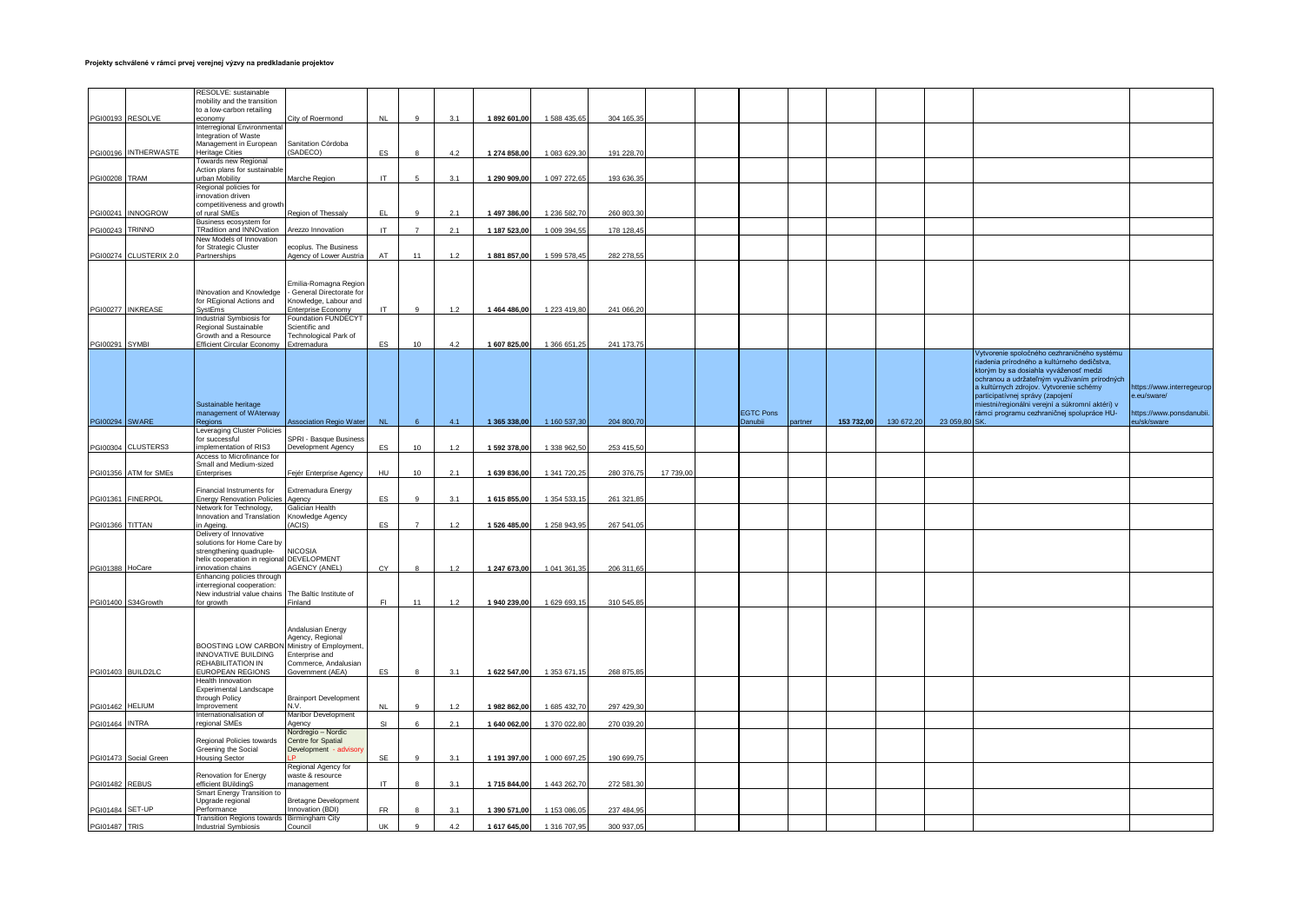|                       |                        | RESOLVE: sustainable<br>mobility and the transition        |                                                 |                  |                |       |              |              |            |           |                  |         |            |            |           |                                                                                       |                           |
|-----------------------|------------------------|------------------------------------------------------------|-------------------------------------------------|------------------|----------------|-------|--------------|--------------|------------|-----------|------------------|---------|------------|------------|-----------|---------------------------------------------------------------------------------------|---------------------------|
|                       |                        | to a low-carbon retailing                                  |                                                 |                  |                |       |              |              |            |           |                  |         |            |            |           |                                                                                       |                           |
|                       | PGI00193 RESOLVE       | economy<br>Interregional Environmental                     | City of Roermond                                | NL               | $\mathbf{q}$   | 3.1   | 1892 601,00  | 1 588 435,65 | 304 165,35 |           |                  |         |            |            |           |                                                                                       |                           |
|                       |                        | Integration of Waste                                       |                                                 |                  |                |       |              |              |            |           |                  |         |            |            |           |                                                                                       |                           |
|                       | PGI00196 INTHERWASTE   | Management in European<br>Heritage Cities                  | Sanitation Córdoba<br>SADECO)                   | ES               |                | 4.2   | 1 274 858,00 | 1 083 629,30 | 191 228,70 |           |                  |         |            |            |           |                                                                                       |                           |
|                       |                        | Towards new Regional                                       |                                                 |                  |                |       |              |              |            |           |                  |         |            |            |           |                                                                                       |                           |
|                       |                        | Action plans for sustainable                               |                                                 |                  |                |       |              |              |            |           |                  |         |            |            |           |                                                                                       |                           |
| <b>PGI00208 TRAM</b>  |                        | urban Mobility<br>Regional policies for                    | Marche Region                                   | IT.              |                | 3.1   | 1 290 909,00 | 1 097 272,65 | 193 636,35 |           |                  |         |            |            |           |                                                                                       |                           |
|                       |                        | innovation driven                                          |                                                 |                  |                |       |              |              |            |           |                  |         |            |            |           |                                                                                       |                           |
|                       | PGI00241 INNOGROW      | competitiveness and growt<br>of rural SMEs                 | Region of Thessaly                              | FL               | $\alpha$       | 2.1   | 1 497 386,00 | 1 236 582,70 | 260 803,30 |           |                  |         |            |            |           |                                                                                       |                           |
|                       |                        | Business ecosystem for                                     |                                                 |                  |                |       |              |              |            |           |                  |         |            |            |           |                                                                                       |                           |
| PGI00243 TRINNO       |                        | TRadition and INNOvation                                   | <b>Arezzo Innovation</b>                        | <b>IT</b>        | $\overline{7}$ | 2.1   | 1 187 523,00 | 1 009 394,55 | 178 128,45 |           |                  |         |            |            |           |                                                                                       |                           |
|                       |                        | New Models of Innovation<br>for Strategic Cluster          | ecoplus. The Business                           |                  |                |       |              |              |            |           |                  |         |            |            |           |                                                                                       |                           |
|                       | PGI00274 CLUSTERIX 2.0 | Partnerships                                               | Agency of Lower Austria                         | AT               | 11             | 1.2   | 1881857,00   | 1 599 578,45 | 282 278,55 |           |                  |         |            |            |           |                                                                                       |                           |
|                       |                        |                                                            |                                                 |                  |                |       |              |              |            |           |                  |         |            |            |           |                                                                                       |                           |
|                       |                        |                                                            | Emilia-Romagna Region                           |                  |                |       |              |              |            |           |                  |         |            |            |           |                                                                                       |                           |
|                       |                        | Nnovation and Knowledge                                    | - General Directorate for                       |                  |                |       |              |              |            |           |                  |         |            |            |           |                                                                                       |                           |
|                       | PGI00277 INKREASE      | for REgional Actions and<br>SystEms                        | Knowledge, Labour and<br>Enterprise Economy     | <b>IT</b>        |                | 1.2   | 1 464 486,00 | 1 223 419,80 | 241 066.20 |           |                  |         |            |            |           |                                                                                       |                           |
|                       |                        | Industrial Symbiosis for                                   | Foundation FUNDECYT                             |                  |                |       |              |              |            |           |                  |         |            |            |           |                                                                                       |                           |
|                       |                        | Regional Sustainable                                       | Scientific and                                  |                  |                |       |              |              |            |           |                  |         |            |            |           |                                                                                       |                           |
| PGI00291              | <b>SYMBI</b>           | Growth and a Resource<br><b>Efficient Circular Economy</b> | Technological Park of<br>Extremadura            | ES               | 10             | 4.2   | 1 607 825,00 | 1 366 651,25 | 241 173.75 |           |                  |         |            |            |           |                                                                                       |                           |
|                       |                        |                                                            |                                                 |                  |                |       |              |              |            |           |                  |         |            |            |           | Vytvorenie spoločného cezhraničného systému                                           |                           |
|                       |                        |                                                            |                                                 |                  |                |       |              |              |            |           |                  |         |            |            |           | riadenia prírodného a kultúrneho dedičstva,<br>ktorým by sa dosiahla vyváženosť medzi |                           |
|                       |                        |                                                            |                                                 |                  |                |       |              |              |            |           |                  |         |            |            |           | ochranou a udržateľným využívaním prírodných                                          |                           |
|                       |                        |                                                            |                                                 |                  |                |       |              |              |            |           |                  |         |            |            |           | a kultúrnych zdrojov. Vytvorenie schémy                                               | https://www.interregeurop |
|                       |                        | Sustainable heritage                                       |                                                 |                  |                |       |              |              |            |           |                  |         |            |            |           | participatívnej správy (zapojení<br>miestni/regionálni verejní a súkromní aktéri) v   | e.eu/sware/               |
|                       |                        | management of WAterway                                     |                                                 |                  |                |       |              |              |            |           | <b>EGTC Pons</b> |         |            |            |           | rámci programu cezhraničnej spolupráce HU-                                            | https://www.ponsdanubii.  |
| <b>PGI00294 SWARE</b> |                        | Regions<br>Leveraging Cluster Policies                     | ssociation Regio Water                          | <b>NL</b>        | 6              | 4.1   | 1 365 338,00 | 1 160 537,30 | 204 800,70 |           | <b>Danubii</b>   | partner | 153 732,00 | 130 672,20 | 23 059,80 | <b>SK</b>                                                                             | eu/sk/sware               |
|                       |                        | or successful                                              | <b>SPRI - Basque Busines</b>                    |                  |                |       |              |              |            |           |                  |         |            |            |           |                                                                                       |                           |
|                       | PGI00304 CLUSTERS3     | mplementation of RIS3                                      | evelopment Agency                               | ES               | 10             | 1.2   | 1 592 378.00 | 1 338 962.50 | 253 415.50 |           |                  |         |            |            |           |                                                                                       |                           |
|                       |                        | Access to Microfinance for<br>Small and Medium-sized       |                                                 |                  |                |       |              |              |            |           |                  |         |            |            |           |                                                                                       |                           |
|                       | PGI01356 ATM for SMEs  | <b>Interprises</b>                                         | Fejér Enterprise Agency                         | HU               | 10             | 2.1   | 1 639 836,00 | 1 341 720,25 | 280 376,75 | 17 739,00 |                  |         |            |            |           |                                                                                       |                           |
|                       |                        | Financial Instruments for                                  | Extremadura Energy                              |                  |                |       |              |              |            |           |                  |         |            |            |           |                                                                                       |                           |
|                       | PGI01361 FINERPOL      | <b>Energy Renovation Policies</b>                          | Agency                                          | ES               | $\circ$        | 3.1   | 1 615 855,00 | 1 354 533,15 | 261 321,85 |           |                  |         |            |            |           |                                                                                       |                           |
|                       |                        | Network for Technology,<br>Innovation and Translation      | Galician Health<br>Knowledge Agency             |                  |                |       |              |              |            |           |                  |         |            |            |           |                                                                                       |                           |
| PGI01366 TITTAN       |                        | n Ageing.                                                  | ACIS)                                           | <b>ES</b>        | $\overline{7}$ | $1.2$ | 1 526 485,00 | 1 258 943,95 | 267 541,05 |           |                  |         |            |            |           |                                                                                       |                           |
|                       |                        | Delivery of Innovative                                     |                                                 |                  |                |       |              |              |            |           |                  |         |            |            |           |                                                                                       |                           |
|                       |                        | solutions for Home Care by<br>strengthening quadruple-     | <b>NICOSIA</b>                                  |                  |                |       |              |              |            |           |                  |         |            |            |           |                                                                                       |                           |
|                       |                        | helix cooperation in regional                              | DEVELOPMENT                                     |                  |                |       |              |              |            |           |                  |         |            |            |           |                                                                                       |                           |
| PGI01388 HoCare       |                        | nnovation chains                                           | <b>AGENCY (ANEL)</b>                            | CY               |                | 1.2   | 1 247 673,00 | 1 041 361,35 | 206 311,65 |           |                  |         |            |            |           |                                                                                       |                           |
|                       |                        | Enhancing policies through<br>interregional cooperation:   |                                                 |                  |                |       |              |              |            |           |                  |         |            |            |           |                                                                                       |                           |
|                       |                        | New industrial value chains                                | The Baltic Institute of                         |                  |                |       |              |              |            |           |                  |         |            |            |           |                                                                                       |                           |
|                       | PGI01400 S34Growth     | or growth                                                  | Finland                                         | F1               | 11             | 1.2   | 1 940 239,00 | 1 629 693,15 | 310 545,85 |           |                  |         |            |            |           |                                                                                       |                           |
|                       |                        |                                                            |                                                 |                  |                |       |              |              |            |           |                  |         |            |            |           |                                                                                       |                           |
|                       |                        |                                                            | Andalusian Energy<br>Agency, Regional           |                  |                |       |              |              |            |           |                  |         |            |            |           |                                                                                       |                           |
|                       |                        | BOOSTING LOW CARBON                                        | Ministry of Employment                          |                  |                |       |              |              |            |           |                  |         |            |            |           |                                                                                       |                           |
|                       |                        | INNOVATIVE BUILDING                                        | Enterprise and                                  |                  |                |       |              |              |            |           |                  |         |            |            |           |                                                                                       |                           |
|                       | PGI01403 BUILD2LC      | REHABILITATION IN<br>EUROPEAN REGIONS                      | Commerce, Andalusian<br>Government (AEA)        | ES               |                | 3.1   | 1 622 547,00 | 1 353 671,15 | 268 875,85 |           |                  |         |            |            |           |                                                                                       |                           |
|                       |                        | Health Innovation                                          |                                                 |                  |                |       |              |              |            |           |                  |         |            |            |           |                                                                                       |                           |
|                       |                        | <b>Experimental Landscape</b><br>through Policy            | <b>Brainport Development</b>                    |                  |                |       |              |              |            |           |                  |         |            |            |           |                                                                                       |                           |
| PGI01462 HELIUM       |                        | mprovement                                                 | N.V.                                            | <b>NL</b>        |                | 1.2   | 1 982 862,00 | 1 685 432,70 | 297 429,30 |           |                  |         |            |            |           |                                                                                       |                           |
| <b>PGI01464 INTRA</b> |                        | Internationalisation of<br>regional SMEs                   | Maribor Development<br>Agency                   | SI               | $\epsilon$     | 2.1   | 1 640 062,00 | 1 370 022,8  | 270 039,20 |           |                  |         |            |            |           |                                                                                       |                           |
|                       |                        |                                                            | Nordregio - Nordic                              |                  |                |       |              |              |            |           |                  |         |            |            |           |                                                                                       |                           |
|                       |                        | Regional Policies towards                                  | Centre for Spatial                              |                  |                |       |              |              |            |           |                  |         |            |            |           |                                                                                       |                           |
|                       | PGI01473 Social Green  | Greening the Social<br>Housing Sector                      | Development - advisor                           | <b>SF</b>        | $\mathsf{Q}$   | 3.1   | 1 191 397.00 | 1 000 697.25 | 190 699.75 |           |                  |         |            |            |           |                                                                                       |                           |
|                       |                        |                                                            | Regional Agency for                             |                  |                |       |              |              |            |           |                  |         |            |            |           |                                                                                       |                           |
| PGI01482 REBUS        |                        | Renovation for Energy<br>efficient BUildingS               | waste & resource<br>nanagement                  | IT               | $\mathbf{R}$   | 3.1   | 1715 844.00  | 1 443 262,70 | 272 581,30 |           |                  |         |            |            |           |                                                                                       |                           |
|                       |                        | Smart Energy Transition to                                 |                                                 |                  |                |       |              |              |            |           |                  |         |            |            |           |                                                                                       |                           |
|                       |                        | Upgrade regional                                           | <b>Bretagne Development</b><br>Innovation (BDI) |                  |                | 3.1   | 1 390 571,00 |              |            |           |                  |         |            |            |           |                                                                                       |                           |
|                       |                        |                                                            |                                                 |                  |                |       |              |              |            |           |                  |         |            |            |           |                                                                                       |                           |
| <b>PGI01487 TRIS</b>  | PGI01484 SET-UP        | Performance<br><b>Transition Regions towards</b>           | Birmingham City                                 | ${\sf FR}$<br>UK |                |       |              | 1 153 086,0  | 237 484,95 |           |                  |         |            |            |           |                                                                                       |                           |